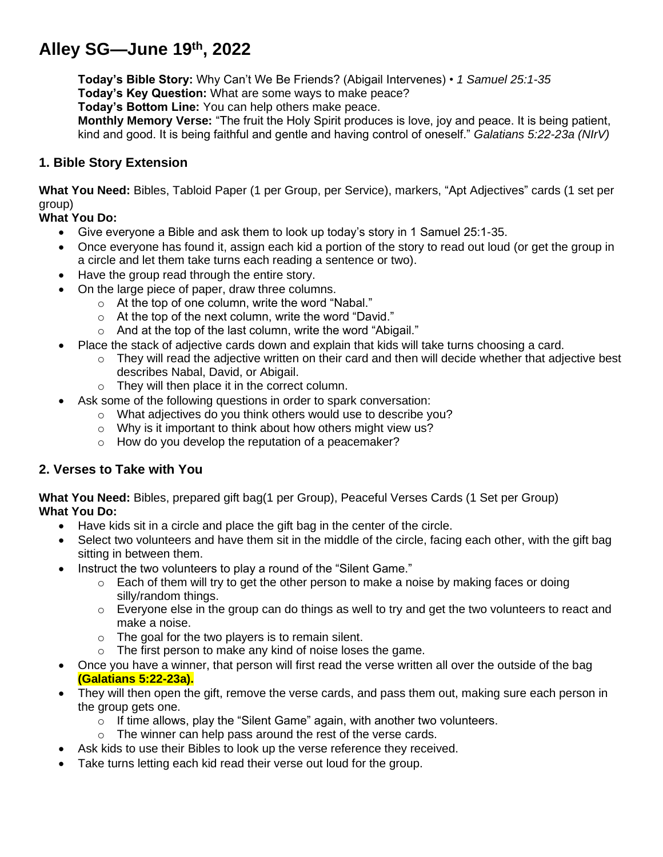# **Alley SG—June 19th , 2022**

**Today's Bible Story:** Why Can't We Be Friends? (Abigail Intervenes) • *1 Samuel 25:1-35* **Today's Key Question:** What are some ways to make peace?

**Today's Bottom Line:** You can help others make peace.

**Monthly Memory Verse:** "The fruit the Holy Spirit produces is love, joy and peace. It is being patient, kind and good. It is being faithful and gentle and having control of oneself." *Galatians 5:22-23a (NIrV)*

### **1. Bible Story Extension**

**What You Need:** Bibles, Tabloid Paper (1 per Group, per Service), markers, "Apt Adjectives" cards (1 set per group)

#### **What You Do:**

- Give everyone a Bible and ask them to look up today's story in 1 Samuel 25:1-35.
- Once everyone has found it, assign each kid a portion of the story to read out loud (or get the group in a circle and let them take turns each reading a sentence or two).
- Have the group read through the entire story.
- On the large piece of paper, draw three columns.
	- o At the top of one column, write the word "Nabal."
	- o At the top of the next column, write the word "David."
	- o And at the top of the last column, write the word "Abigail."
- Place the stack of adjective cards down and explain that kids will take turns choosing a card.
	- $\circ$  They will read the adjective written on their card and then will decide whether that adjective best describes Nabal, David, or Abigail.
	- o They will then place it in the correct column.
- Ask some of the following questions in order to spark conversation:
	- o What adjectives do you think others would use to describe you?
	- o Why is it important to think about how others might view us?
	- o How do you develop the reputation of a peacemaker?

#### **2. Verses to Take with You**

**What You Need:** Bibles, prepared gift bag(1 per Group), Peaceful Verses Cards (1 Set per Group) **What You Do:**

- Have kids sit in a circle and place the gift bag in the center of the circle.
- Select two volunteers and have them sit in the middle of the circle, facing each other, with the gift bag sitting in between them.
- Instruct the two volunteers to play a round of the "Silent Game."
	- $\circ$  Each of them will try to get the other person to make a noise by making faces or doing silly/random things.
	- $\circ$  Everyone else in the group can do things as well to try and get the two volunteers to react and make a noise.
	- $\circ$  The goal for the two players is to remain silent.
	- o The first person to make any kind of noise loses the game.
- Once you have a winner, that person will first read the verse written all over the outside of the bag **(Galatians 5:22-23a).**
- They will then open the gift, remove the verse cards, and pass them out, making sure each person in the group gets one.
	- o If time allows, play the "Silent Game" again, with another two volunteers.
	- o The winner can help pass around the rest of the verse cards.
- Ask kids to use their Bibles to look up the verse reference they received.
- Take turns letting each kid read their verse out loud for the group.